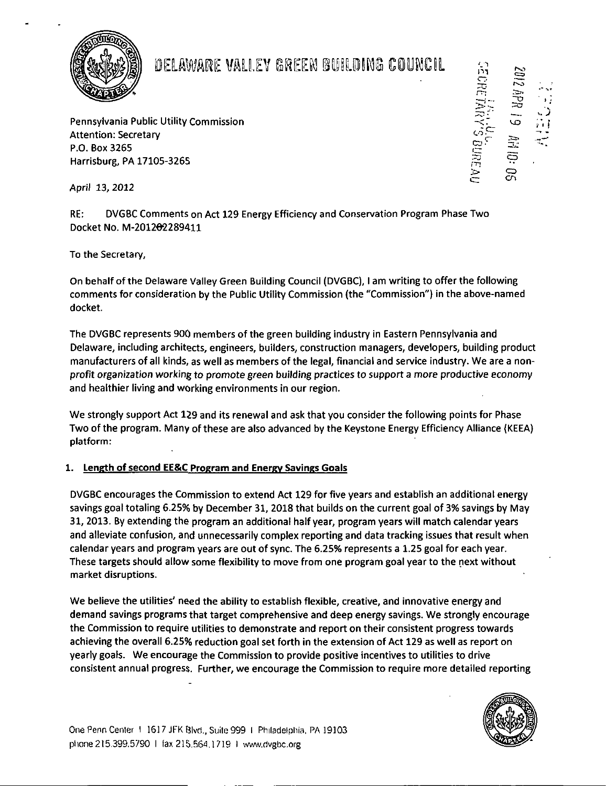

# DELAWARE VALLEY GREEN BUILDING COUNCIL

Pennsylvania Public Utility Commission Attention: Secretary P.O. Box 3265 Harrisburg, PA 17105-326S

April 13, 2012

RE: DVGBC Comments on Act 129 Energy Efficiency and Conservation Program Phase Two Docket No. M-201202289411

To the Secretary,

On behalf of the Delaware Valley Green Building Council (DVGBC), I am writing to offer the following comments for consideration by the Public Utility Commission (the "Commission") in the above-named docket.

The DVGBC represents 900 members of the green building industry in Eastern Pennsylvania and Delaware, including architects, engineers, builders, construction managers, developers, building product manufacturers of all kinds, as well as members ofthe legal, financial and service industry. We are a nonprofit organization working to promote green building practices to support a more productive economy and healthier living and working environments in our region.

We strongly support Act 129 and its renewal and ask that you consider the following points for Phase Two of the program. Many of these are also advanced by the Keystone Energy Efficiency Alliance (KEEA) platform:

## 1. Length of second EE&C Program and Energy Savings Goals

DVGBC encourages the Commission to extend Act 129 for five years and establish an additional energy savings goal totaling 6.25% by December 31, 2018 that builds on the current goal of 3% savings by May 31, 2013. By extending the program an additional half year, program years will match calendar years and alleviate confusion, and unnecessarily complex reporting and data tracking issues that result when calendar years and program years are out of sync. The 6.25% represents a 1.25 goal for each year. These targets should allow some flexibility to move from one program goal year to the next without market disruptions.

We believe the utilities' need the ability to establish flexible, creative, and innovative energy and demand savings programs that target comprehensive and deep energy savings. We strongly encourage the Commission to require utilities to demonstrate and report on their consistent progress towards achieving the overall 6.25% reduction goal set forth in the extension of Act 129 as well as report on yearly goals. We encourage the Commission to provide positive incentives to utilities to drive consistent annual progress. Further, we encourage the Commission to require more detailed reporting



ra<br>CT-

 $\mathbb{C}$  $\subset$   $-$ 

ZD .\*-Ti C D  $\mathsf{C}\mathsf{n}$ 

19 角吊0:

%. J 3' t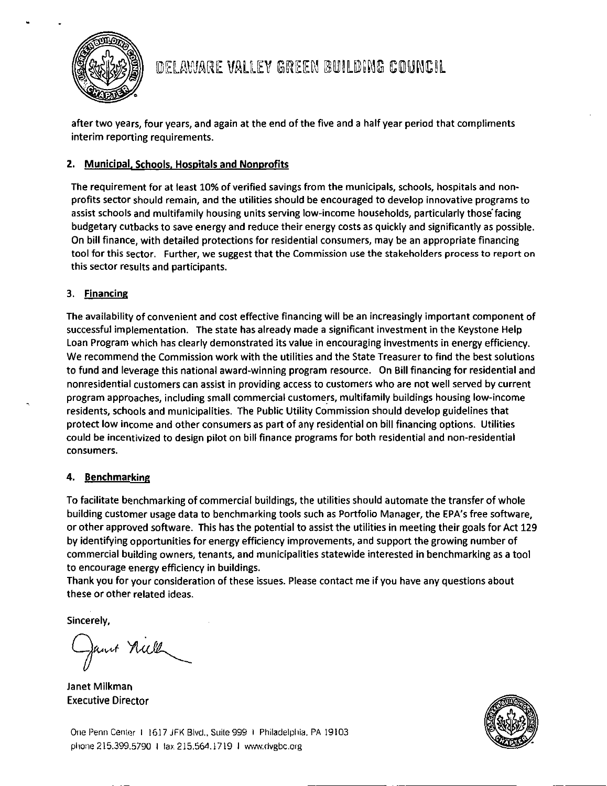

after two years, four years, and again at the end of the five and a half year period that compliments interim reporting requirements.

# 2. Municipal. Schools. Hospitals and Nonprofits

The requirement for at least 10% of verified savings from the municipals, schools, hospitals and nonprofits sector should remain, and the utilities should be encouraged to develop innovative programs to assist schools and multifamily housing units serving low-income households, particularly those'facing budgetary cutbacks to save energy and reduce their energy costs as quickly and significantly as possible. On bill finance, with detailed protections for residential consumers, may be an appropriate financing tool for this sector. Further, we suggest that the Commission use the stakeholders process to report on this sector results and participants.

## 3. Financing

The availability of convenient and cost effective financing will be an increasingly important component of successful implementation. The state has already made a significant investment in the Keystone Help Loan Program which has clearly demonstrated its value in encouraging investments in energy efficiency. We recommend the Commission work with the utilities and the State Treasurer to find the best solutions to fund and leverage this national award-winning program resource. On Bill financing for residential and nonresidential customers can assist in providing access to customers who are not well served by current program approaches, including small commercial customers, multifamily buildings housing low-income residents, schools and municipalities. The Public Utility Commission should develop guidelines that protect low income and other consumers as part of any residential on bill financing options. Utilities could be incentivized to design pilot on bill finance programs for both residential and non-residential consumers.

#### 4. Benchmarking

To facilitate benchmarking of commercial buildings, the utilities should automate the transfer of whole building customer usage data to benchmarking tools such as Portfolio Manager, the EPA's free software, or other approved software. This has the potential to assist the utilities in meeting their goals for Act 129 by identifying opportunities for energy efficiency improvements, and support the growing number of commercial building owners, tenants, and municipalities statewide interested in benchmarking as a tool to encourage energy efficiency in buildings.

Thank you for your consideration of these issues. Please contact me if you have any questions about these or other related ideas.

Sincerely,

Jant Niell

Janet Milkman Executive Director



One Penn Center I 1617 JFK Blvd., Suite 999 1 Philadelphia. PA 19103 phone 215.399,5790 I tax 215.564.1719 I www.(ivgbc.org